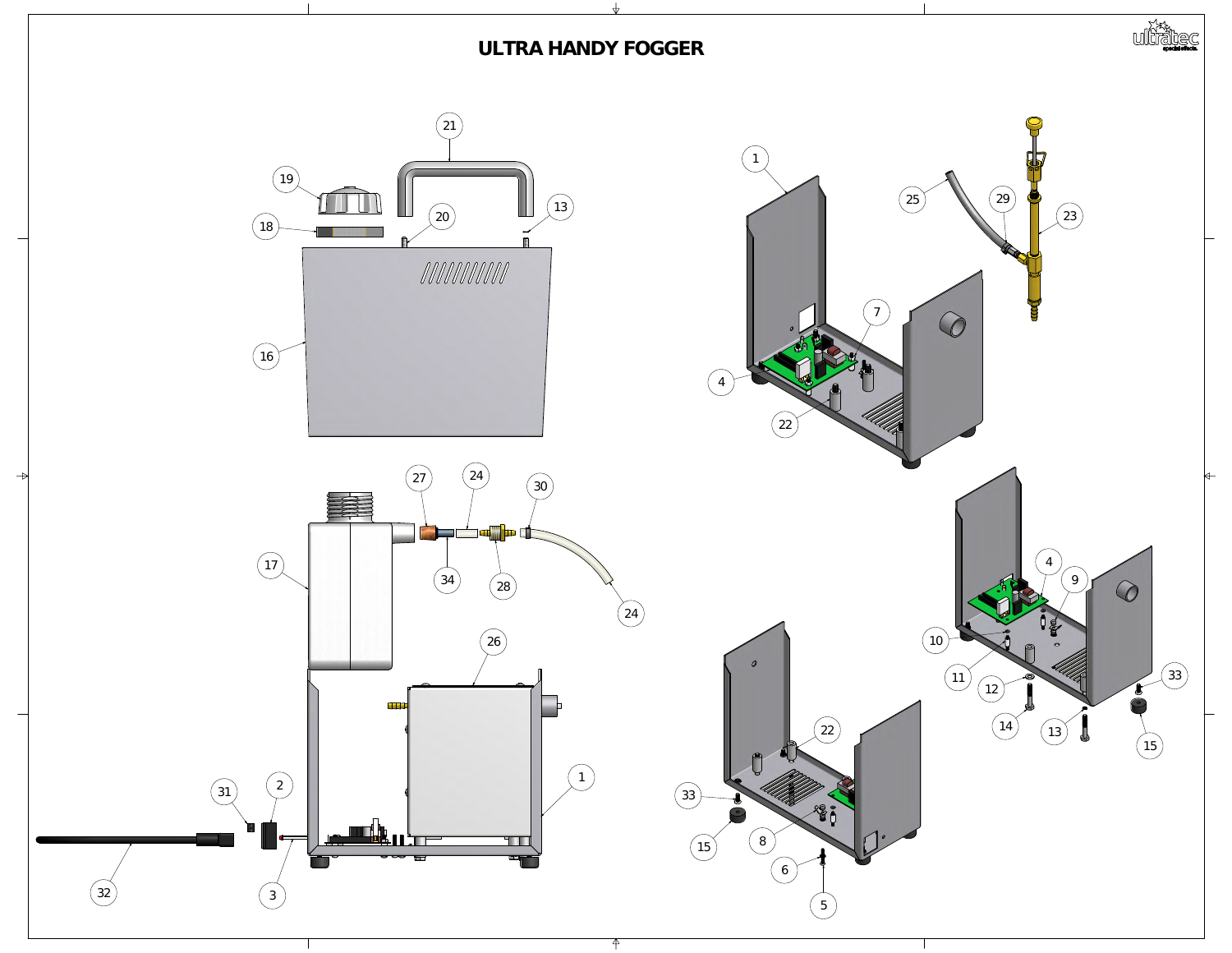

![](_page_0_Picture_3.jpeg)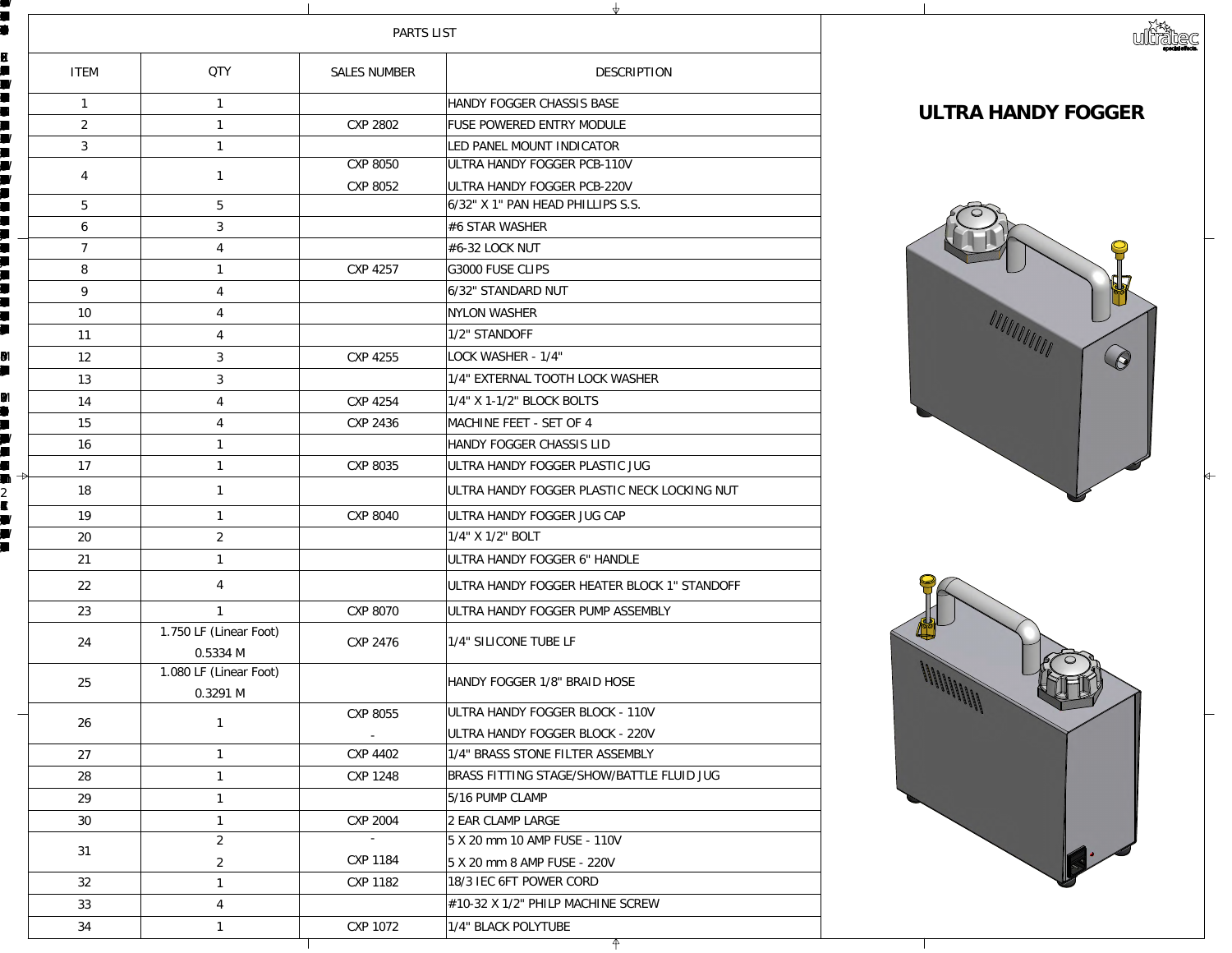BRAS FITNGAE/SHOWBATLE FUIDJGCXP 1248RM-HA051285/16 PUMCLAR-H10329

 $\blacksquare$ 

**7 X** 

**x**<br>3118

 $\blacksquare$ 

 $\blacksquare$ 

![](_page_1_Picture_1.jpeg)

|                     |                                                           | PARTS LIST          |                                           |             |
|---------------------|-----------------------------------------------------------|---------------------|-------------------------------------------|-------------|
| ITEM                | QIY                                                       | <b>SALES NUMBER</b> | DESCRIPTION                               |             |
|                     |                                                           |                     | HANDY FOGGER CHASSIS BASE                 |             |
| $\boldsymbol{z}$    |                                                           | CP2802              | FUSE POWERED ENTRY MODULE                 | ULTRAHA     |
| 3                   |                                                           |                     | <b>IEDPANELMOUNTINDICATOR</b>             |             |
| $\overline{4}$      |                                                           | CVP8050             | ULTRAHANDYFOGGER PCB-11OV                 |             |
|                     |                                                           | <b>COP 8052</b>     | ULTRAHANDYFOGGER PCB 220V                 |             |
| 5                   | 5                                                         |                     | $ 6'32'$ X 1" PANHEAD PHILIPS S.S.        |             |
| 6                   |                                                           |                     | $\#6$ STARWASHER                          |             |
|                     |                                                           |                     | #632LOCKNUT                               |             |
| 8                   |                                                           | COP 4257            | <b>C3000 FUSE CLIPS</b>                   |             |
| $\Theta$            |                                                           |                     | <b>632' STANDARD NUT</b>                  |             |
| <b>10</b>           |                                                           |                     | <b>NICNWASHER</b>                         |             |
| 11                  |                                                           |                     | 1/2' STANDOFF                             |             |
| 12                  |                                                           | COP 4255            | LOCKWASHER-1/4"                           |             |
| 13                  | $\mathcal{S}% _{M_{1},M_{2}}^{\alpha,\beta}(\mathcal{A})$ |                     | 1/4" EXTERNAL TOOTHLOOK WASHER            |             |
| 14                  |                                                           | CNP 4254            | $1/4$ " X1-1/2" BLOCKBOLTS                |             |
| 15                  |                                                           | COP 2436            | MACHINE FEET - SET OF 4                   |             |
| 16                  |                                                           |                     | HANDY FOGGER CHASSIS LID                  |             |
| 17<br>$\rightarrow$ |                                                           | <b>CYP 8035</b>     | ULTRAHANDYFOGGER PLASTIC JUG              |             |
| 18                  |                                                           |                     | ULTRAHANDYFOGGER PLASTIC NECK LOCKING NUT |             |
| 19                  |                                                           | <b>CYP 8040</b>     | ULTRA HANDY FOGGER JUG CAP                |             |
| 20                  | $\boldsymbol{z}$                                          |                     | $1/4$ " $X1/Z$ " BOLT                     |             |
| 21                  |                                                           |                     | ULTRAHANDYFOGGER 6' HANDLE                |             |
| 22                  |                                                           |                     | ULTRAHANDYFOGGERHEATER BLOCK 1" STANDOFF  |             |
| 23                  |                                                           | CP8070              | ULTRAHANDYFOGGER PUMP ASSEMBLY            | $\bigoplus$ |
| 24                  | 1.750LF (Linear Foot)<br>Q5334M                           | <b>CYP 2476</b>     | 1/4" SILICONE TUBE LF                     |             |
| 25                  | 1. OBOLF (Linear Foot)<br>Q3291 M                         |                     | HANDYFOGGER 1/8' BRAIDHOSE                |             |
| 26                  |                                                           | <b>CYP 8055</b>     | ULTRAHANDYFOGGER BLOCK-11OV               |             |
|                     |                                                           |                     | ULTRAHANDYFOGGER BLOCK - 220V             |             |
| 27                  |                                                           | CP402               | 1/4" BRASS STONE FILTER ASSEMBLY          |             |
| 28                  |                                                           | CYP 1248            | BRASS FITTING STAGE/SHOW/BATTLE FILID JUG |             |
| 29                  |                                                           |                     | $5/16$ PUMP CLAMP                         |             |
| $\mathfrak{D}$      |                                                           | CP2004              | 2 EAR CLAMP LARGE                         |             |
| 31                  | $\boldsymbol{z}$                                          | $\sim$              | $5X20$ mm 10 AMP FUSE - 11 OV             |             |
|                     | $\boldsymbol{2}$                                          | <b>CXP 1184</b>     | $5X20$ mm $8$ AMP FUSE - $220V$           |             |
| 32                  |                                                           | CXP 1182            | 18/3 IEC GFT POWER CORD                   |             |
| 33                  |                                                           |                     | $\#1032X1/Z'$ PHIP MACHNE SCREW           |             |
| 34                  |                                                           | COP 1072            | 1/4" BLACK POLYTUBE                       |             |

<u>FU</u>

 $\blacksquare$ 

 $\blacksquare$ 

**B**<br>EXPERI

N

 $\blacksquare$ 

 $\blacksquare$ 

 $\blacksquare$ 

 $\blacksquare$ 

 $\blacksquare$ 

 $\blacksquare$ 

 $\blacksquare$ 

 $\blacksquare$ 

 $\blacksquare$ 

 $\blacksquare$ 

 $\blacksquare$ 

 $\blacksquare$ 

ULTRA HO<br>ULTRA HOLTRA HAZI

 $\blacksquare$ 

ULTRA HATBLOCK 1

**KAN** 

 $\mathbf{M}$ 

ULTRA HO

 $\blacksquare$